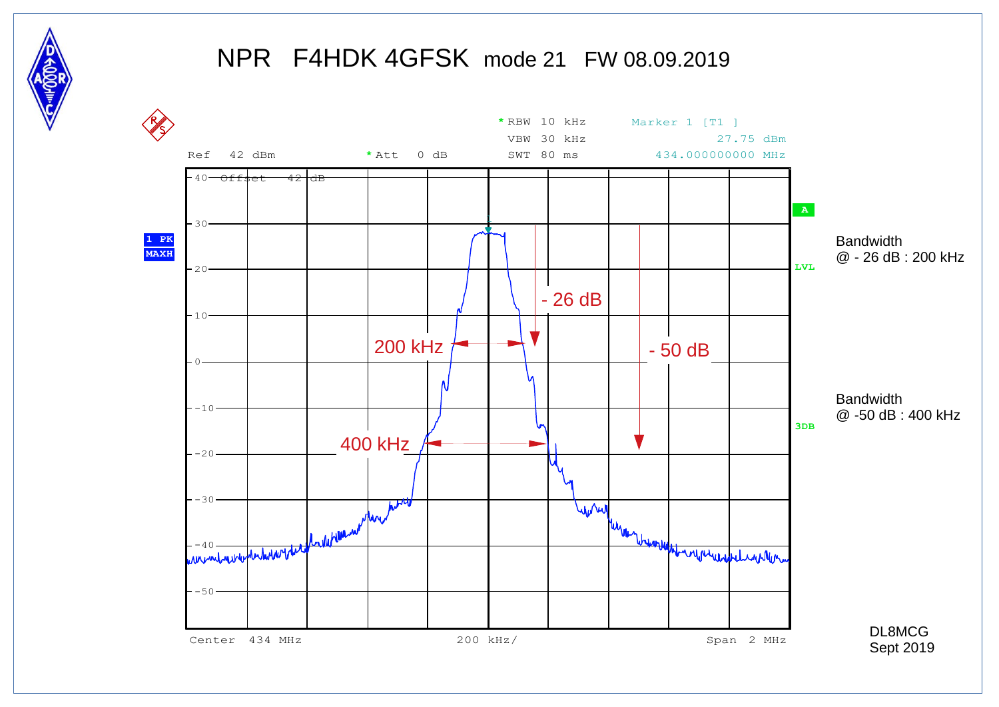

#### NPR F4HDK 4GFSK mode 21 FW 08.09.2019

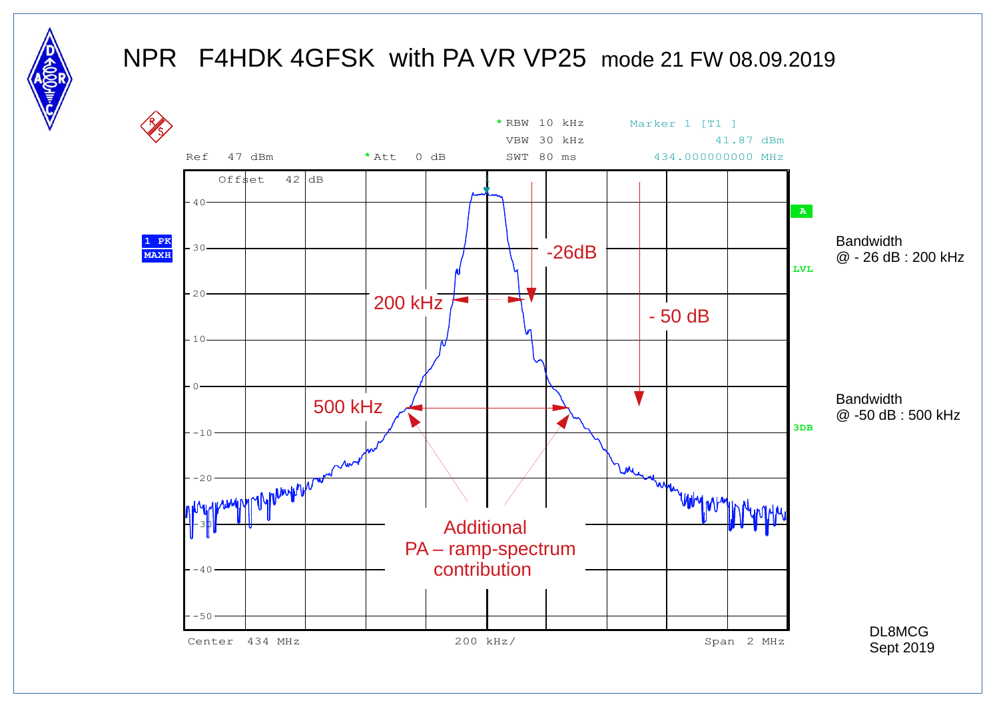

### NPR F4HDK 4GFSK with PA VR VP25 mode 21 FW 08.09.2019

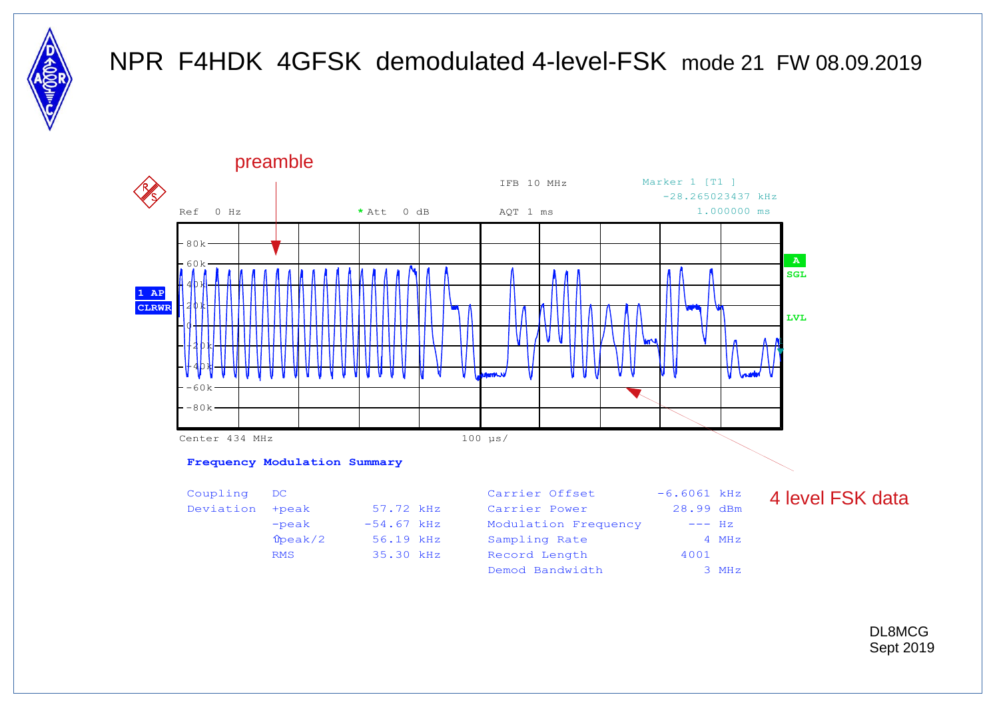

### NPR F4HDK 4GFSK demodulated 4-level-FSK mode 21 FW 08.09.2019



DL8MCG Sept 2019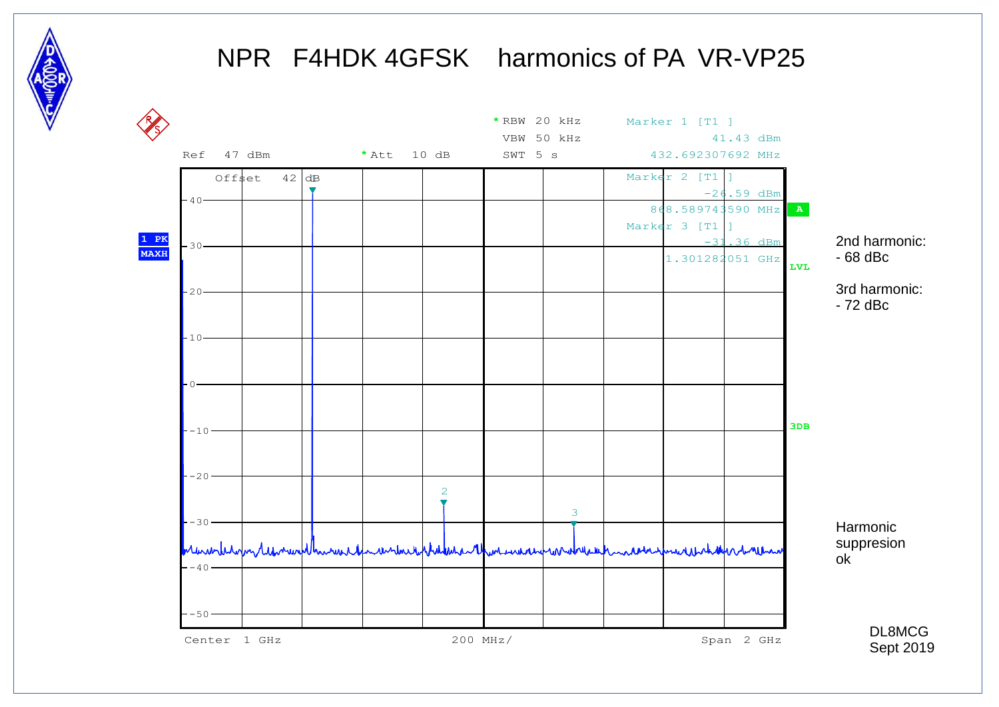

# NPR F4HDK 4GFSK harmonics of PA VR-VP25